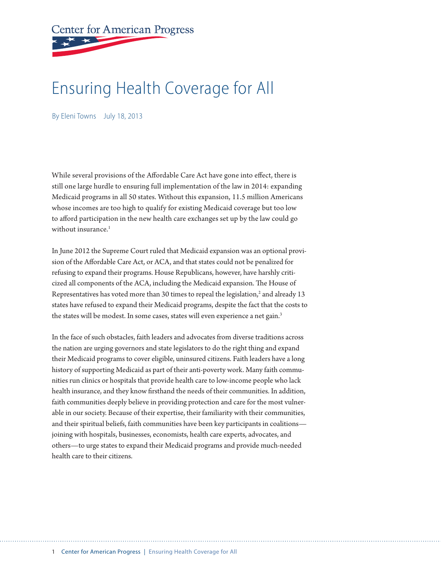**Center for American Progress** 

# Ensuring Health Coverage for All

By Eleni Towns July 18, 2013

While several provisions of the Affordable Care Act have gone into effect, there is still one large hurdle to ensuring full implementation of the law in 2014: expanding Medicaid programs in all 50 states. Without this expansion, 11.5 million Americans whose incomes are too high to qualify for existing Medicaid coverage but too low to afford participation in the new health care exchanges set up by the law could go without insurance. $1$ 

In June 2012 the Supreme Court ruled that Medicaid expansion was an optional provision of the Affordable Care Act, or ACA, and that states could not be penalized for refusing to expand their programs. House Republicans, however, have harshly criticized all components of the ACA, including the Medicaid expansion. The House of Representatives has voted more than 30 times to repeal the legislation, $^2$  and already 13 states have refused to expand their Medicaid programs, despite the fact that the costs to the states will be modest. In some cases, states will even experience a net gain.<sup>3</sup>

In the face of such obstacles, faith leaders and advocates from diverse traditions across the nation are urging governors and state legislators to do the right thing and expand their Medicaid programs to cover eligible, uninsured citizens. Faith leaders have a long history of supporting Medicaid as part of their anti-poverty work. Many faith communities run clinics or hospitals that provide health care to low-income people who lack health insurance, and they know firsthand the needs of their communities. In addition, faith communities deeply believe in providing protection and care for the most vulnerable in our society. Because of their expertise, their familiarity with their communities, and their spiritual beliefs, faith communities have been key participants in coalitions joining with hospitals, businesses, economists, health care experts, advocates, and others—to urge states to expand their Medicaid programs and provide much-needed health care to their citizens.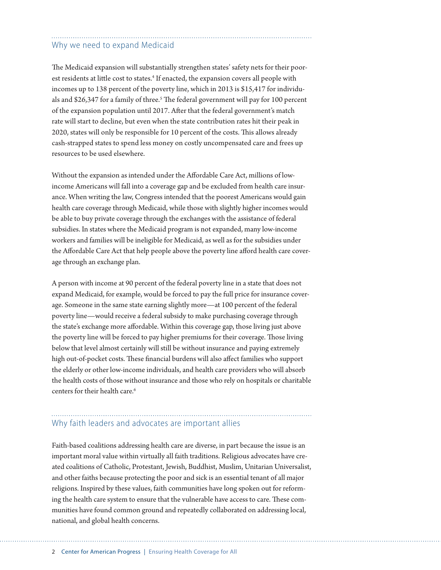# Why we need to expand Medicaid

The Medicaid expansion will substantially strengthen states' safety nets for their poorest residents at little cost to states.<sup>4</sup> If enacted, the expansion covers all people with incomes up to 138 percent of the poverty line, which in 2013 is \$15,417 for individuals and \$26,347 for a family of three.<sup>5</sup> The federal government will pay for 100 percent of the expansion population until 2017. After that the federal government's match rate will start to decline, but even when the state contribution rates hit their peak in 2020, states will only be responsible for 10 percent of the costs. This allows already cash-strapped states to spend less money on costly uncompensated care and frees up resources to be used elsewhere.

Without the expansion as intended under the Affordable Care Act, millions of lowincome Americans will fall into a coverage gap and be excluded from health care insurance. When writing the law, Congress intended that the poorest Americans would gain health care coverage through Medicaid, while those with slightly higher incomes would be able to buy private coverage through the exchanges with the assistance of federal subsidies. In states where the Medicaid program is not expanded, many low-income workers and families will be ineligible for Medicaid, as well as for the subsidies under the Affordable Care Act that help people above the poverty line afford health care coverage through an exchange plan.

A person with income at 90 percent of the federal poverty line in a state that does not expand Medicaid, for example, would be forced to pay the full price for insurance coverage. Someone in the same state earning slightly more—at 100 percent of the federal poverty line—would receive a federal subsidy to make purchasing coverage through the state's exchange more affordable. Within this coverage gap, those living just above the poverty line will be forced to pay higher premiums for their coverage. Those living below that level almost certainly will still be without insurance and paying extremely high out-of-pocket costs. These financial burdens will also affect families who support the elderly or other low-income individuals, and health care providers who will absorb the health costs of those without insurance and those who rely on hospitals or charitable centers for their health care.<sup>6</sup>

# Why faith leaders and advocates are important allies

Faith-based coalitions addressing health care are diverse, in part because the issue is an important moral value within virtually all faith traditions. Religious advocates have created coalitions of Catholic, Protestant, Jewish, Buddhist, Muslim, Unitarian Universalist, and other faiths because protecting the poor and sick is an essential tenant of all major religions. Inspired by these values, faith communities have long spoken out for reforming the health care system to ensure that the vulnerable have access to care. These communities have found common ground and repeatedly collaborated on addressing local, national, and global health concerns.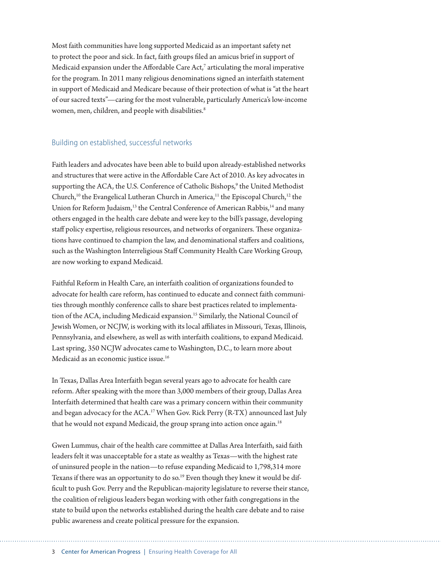Most faith communities have long supported Medicaid as an important safety net to protect the poor and sick. In fact, faith groups filed an amicus brief in support of Medicaid expansion under the Affordable Care Act,<sup>7</sup> articulating the moral imperative for the program. In 2011 many religious denominations signed an interfaith statement in support of Medicaid and Medicare because of their protection of what is "at the heart of our sacred texts"—caring for the most vulnerable, particularly America's low-income women, men, children, and people with disabilities.<sup>8</sup>

#### Building on established, successful networks

Faith leaders and advocates have been able to build upon already-established networks and structures that were active in the Affordable Care Act of 2010. As key advocates in supporting the ACA, the U.S. Conference of Catholic Bishops,<sup>9</sup> the United Methodist Church,<sup>10</sup> the Evangelical Lutheran Church in America,<sup>11</sup> the Episcopal Church,<sup>12</sup> the Union for Reform Judaism, $^{13}$  the Central Conference of American Rabbis, $^{14}$  and many others engaged in the health care debate and were key to the bill's passage, developing staff policy expertise, religious resources, and networks of organizers. These organizations have continued to champion the law, and denominational staffers and coalitions, such as the Washington Interreligious Staff Community Health Care Working Group, are now working to expand Medicaid.

Faithful Reform in Health Care, an interfaith coalition of organizations founded to advocate for health care reform, has continued to educate and connect faith communities through monthly conference calls to share best practices related to implementation of the ACA, including Medicaid expansion.<sup>15</sup> Similarly, the National Council of Jewish Women, or NCJW, is working with its local affiliates in Missouri, Texas, Illinois, Pennsylvania, and elsewhere, as well as with interfaith coalitions, to expand Medicaid. Last spring, 350 NCJW advocates came to Washington, D.C., to learn more about Medicaid as an economic justice issue.<sup>16</sup>

In Texas, Dallas Area Interfaith began several years ago to advocate for health care reform. After speaking with the more than 3,000 members of their group, Dallas Area Interfaith determined that health care was a primary concern within their community and began advocacy for the ACA.<sup>17</sup> When Gov. Rick Perry (R-TX) announced last July that he would not expand Medicaid, the group sprang into action once again.<sup>18</sup>

Gwen Lummus, chair of the health care committee at Dallas Area Interfaith, said faith leaders felt it was unacceptable for a state as wealthy as Texas—with the highest rate of uninsured people in the nation—to refuse expanding Medicaid to 1,798,314 more Texans if there was an opportunity to do so.<sup>19</sup> Even though they knew it would be difficult to push Gov. Perry and the Republican-majority legislature to reverse their stance, the coalition of religious leaders began working with other faith congregations in the state to build upon the networks established during the health care debate and to raise public awareness and create political pressure for the expansion.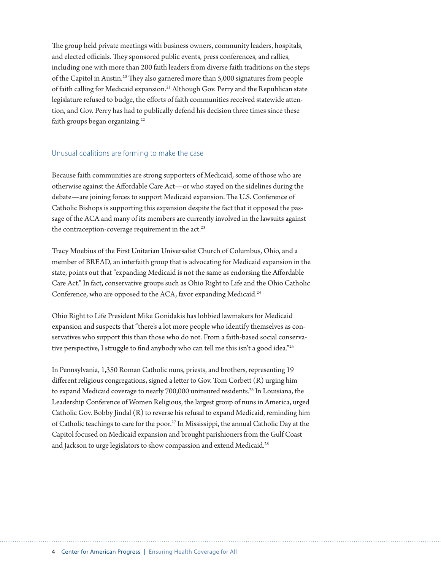The group held private meetings with business owners, community leaders, hospitals, and elected officials. They sponsored public events, press conferences, and rallies, including one with more than 200 faith leaders from diverse faith traditions on the steps of the Capitol in Austin.20 They also garnered more than 5,000 signatures from people of faith calling for Medicaid expansion.<sup>21</sup> Although Gov. Perry and the Republican state legislature refused to budge, the efforts of faith communities received statewide attention, and Gov. Perry has had to publically defend his decision three times since these faith groups began organizing.<sup>22</sup>

#### Unusual coalitions are forming to make the case

Because faith communities are strong supporters of Medicaid, some of those who are otherwise against the Affordable Care Act—or who stayed on the sidelines during the debate—are joining forces to support Medicaid expansion. The U.S. Conference of Catholic Bishops is supporting this expansion despite the fact that it opposed the passage of the ACA and many of its members are currently involved in the lawsuits against the contraception-coverage requirement in the  $act.^{23}$ 

Tracy Moebius of the First Unitarian Universalist Church of Columbus, Ohio, and a member of BREAD, an interfaith group that is advocating for Medicaid expansion in the state, points out that "expanding Medicaid is not the same as endorsing the Affordable Care Act." In fact, conservative groups such as Ohio Right to Life and the Ohio Catholic Conference, who are opposed to the ACA, favor expanding Medicaid.<sup>24</sup>

Ohio Right to Life President Mike Gonidakis has lobbied lawmakers for Medicaid expansion and suspects that "there's a lot more people who identify themselves as conservatives who support this than those who do not. From a faith-based social conservative perspective, I struggle to find anybody who can tell me this isn't a good idea."<sup>25</sup>

In Pennsylvania, 1,350 Roman Catholic nuns, priests, and brothers, representing 19 different religious congregations, signed a letter to Gov. Tom Corbett (R) urging him to expand Medicaid coverage to nearly 700,000 uninsured residents.<sup>26</sup> In Louisiana, the Leadership Conference of Women Religious, the largest group of nuns in America, urged Catholic Gov. Bobby Jindal (R) to reverse his refusal to expand Medicaid, reminding him of Catholic teachings to care for the poor.<sup>27</sup> In Mississippi, the annual Catholic Day at the Capitol focused on Medicaid expansion and brought parishioners from the Gulf Coast and Jackson to urge legislators to show compassion and extend Medicaid.<sup>28</sup>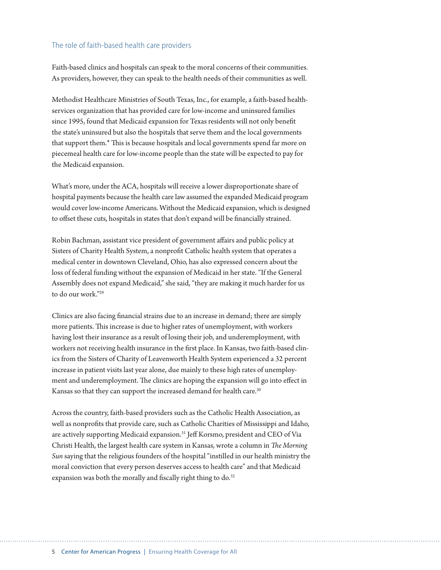#### The role of faith-based health care providers

Faith-based clinics and hospitals can speak to the moral concerns of their communities. As providers, however, they can speak to the health needs of their communities as well.

Methodist Healthcare Ministries of South Texas, Inc., for example, a faith-based healthservices organization that has provided care for low-income and uninsured families since 1995, found that Medicaid expansion for Texas residents will not only benefit the state's uninsured but also the hospitals that serve them and the local governments that support them.\* This is because hospitals and local governments spend far more on piecemeal health care for low-income people than the state will be expected to pay for the Medicaid expansion.

What's more, under the ACA, hospitals will receive a lower disproportionate share of hospital payments because the health care law assumed the expanded Medicaid program would cover low-income Americans. Without the Medicaid expansion, which is designed to offset these cuts, hospitals in states that don't expand will be financially strained.

Robin Bachman, assistant vice president of government affairs and public policy at Sisters of Charity Health System, a nonprofit Catholic health system that operates a medical center in downtown Cleveland, Ohio, has also expressed concern about the loss of federal funding without the expansion of Medicaid in her state. "If the General Assembly does not expand Medicaid," she said, "they are making it much harder for us to do our work."29

Clinics are also facing financial strains due to an increase in demand; there are simply more patients. This increase is due to higher rates of unemployment, with workers having lost their insurance as a result of losing their job, and underemployment, with workers not receiving health insurance in the first place. In Kansas, two faith-based clinics from the Sisters of Charity of Leavenworth Health System experienced a 32 percent increase in patient visits last year alone, due mainly to these high rates of unemployment and underemployment. The clinics are hoping the expansion will go into effect in Kansas so that they can support the increased demand for health care.<sup>30</sup>

Across the country, faith-based providers such as the Catholic Health Association, as well as nonprofits that provide care, such as Catholic Charities of Mississippi and Idaho, are actively supporting Medicaid expansion.31 Jeff Korsmo, president and CEO of Via Christi Health, the largest health care system in Kansas, wrote a column in *The Morning Sun* saying that the religious founders of the hospital "instilled in our health ministry the moral conviction that every person deserves access to health care" and that Medicaid expansion was both the morally and fiscally right thing to do.<sup>32</sup>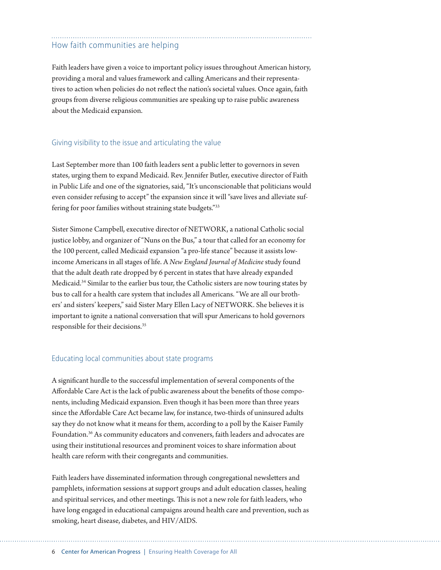### How faith communities are helping

Faith leaders have given a voice to important policy issues throughout American history, providing a moral and values framework and calling Americans and their representatives to action when policies do not reflect the nation's societal values. Once again, faith groups from diverse religious communities are speaking up to raise public awareness about the Medicaid expansion.

#### Giving visibility to the issue and articulating the value

Last September more than 100 faith leaders sent a public letter to governors in seven states, urging them to expand Medicaid. Rev. Jennifer Butler, executive director of Faith in Public Life and one of the signatories, said, "It's unconscionable that politicians would even consider refusing to accept" the expansion since it will "save lives and alleviate suffering for poor families without straining state budgets."33

Sister Simone Campbell, executive director of NETWORK, a national Catholic social justice lobby, and organizer of "Nuns on the Bus," a tour that called for an economy for the 100 percent, called Medicaid expansion "a pro-life stance" because it assists lowincome Americans in all stages of life. A *New England Journal of Medicine* study found that the adult death rate dropped by 6 percent in states that have already expanded Medicaid.<sup>34</sup> Similar to the earlier bus tour, the Catholic sisters are now touring states by bus to call for a health care system that includes all Americans. "We are all our brothers' and sisters' keepers," said Sister Mary Ellen Lacy of NETWORK. She believes it is important to ignite a national conversation that will spur Americans to hold governors responsible for their decisions.35

#### Educating local communities about state programs

A significant hurdle to the successful implementation of several components of the Affordable Care Act is the lack of public awareness about the benefits of those components, including Medicaid expansion. Even though it has been more than three years since the Affordable Care Act became law, for instance, two-thirds of uninsured adults say they do not know what it means for them, according to a poll by the Kaiser Family Foundation.<sup>36</sup> As community educators and conveners, faith leaders and advocates are using their institutional resources and prominent voices to share information about health care reform with their congregants and communities.

Faith leaders have disseminated information through congregational newsletters and pamphlets, information sessions at support groups and adult education classes, healing and spiritual services, and other meetings. This is not a new role for faith leaders, who have long engaged in educational campaigns around health care and prevention, such as smoking, heart disease, diabetes, and HIV/AIDS.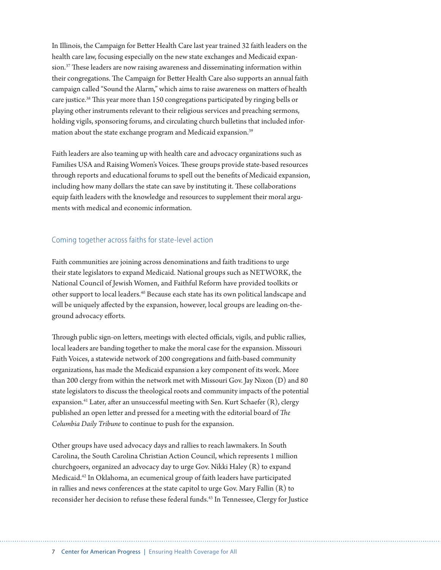In Illinois, the Campaign for Better Health Care last year trained 32 faith leaders on the health care law, focusing especially on the new state exchanges and Medicaid expansion.37 These leaders are now raising awareness and disseminating information within their congregations. The Campaign for Better Health Care also supports an annual faith campaign called "Sound the Alarm," which aims to raise awareness on matters of health care justice.38 This year more than 150 congregations participated by ringing bells or playing other instruments relevant to their religious services and preaching sermons, holding vigils, sponsoring forums, and circulating church bulletins that included information about the state exchange program and Medicaid expansion.<sup>39</sup>

Faith leaders are also teaming up with health care and advocacy organizations such as Families USA and Raising Women's Voices. These groups provide state-based resources through reports and educational forums to spell out the benefits of Medicaid expansion, including how many dollars the state can save by instituting it. These collaborations equip faith leaders with the knowledge and resources to supplement their moral arguments with medical and economic information.

#### Coming together across faiths for state-level action

Faith communities are joining across denominations and faith traditions to urge their state legislators to expand Medicaid. National groups such as NETWORK, the National Council of Jewish Women, and Faithful Reform have provided toolkits or other support to local leaders.40 Because each state has its own political landscape and will be uniquely affected by the expansion, however, local groups are leading on-theground advocacy efforts.

Through public sign-on letters, meetings with elected officials, vigils, and public rallies, local leaders are banding together to make the moral case for the expansion. Missouri Faith Voices, a statewide network of 200 congregations and faith-based community organizations, has made the Medicaid expansion a key component of its work. More than 200 clergy from within the network met with Missouri Gov. Jay Nixon (D) and 80 state legislators to discuss the theological roots and community impacts of the potential expansion.<sup>41</sup> Later, after an unsuccessful meeting with Sen. Kurt Schaefer  $(R)$ , clergy published an open letter and pressed for a meeting with the editorial board of *The Columbia Daily Tribune* to continue to push for the expansion.

Other groups have used advocacy days and rallies to reach lawmakers. In South Carolina, the South Carolina Christian Action Council, which represents 1 million churchgoers, organized an advocacy day to urge Gov. Nikki Haley (R) to expand Medicaid.42 In Oklahoma, an ecumenical group of faith leaders have participated in rallies and news conferences at the state capitol to urge Gov. Mary Fallin (R) to reconsider her decision to refuse these federal funds.<sup>43</sup> In Tennessee, Clergy for Justice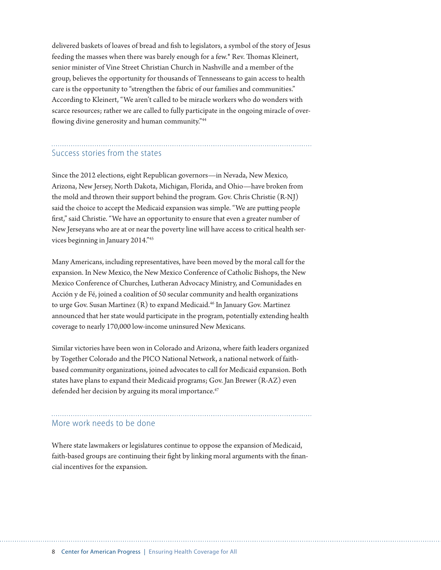delivered baskets of loaves of bread and fish to legislators, a symbol of the story of Jesus feeding the masses when there was barely enough for a few.\* Rev. Thomas Kleinert, senior minister of Vine Street Christian Church in Nashville and a member of the group, believes the opportunity for thousands of Tennesseans to gain access to health care is the opportunity to "strengthen the fabric of our families and communities." According to Kleinert, "We aren't called to be miracle workers who do wonders with scarce resources; rather we are called to fully participate in the ongoing miracle of overflowing divine generosity and human community."<sup>44</sup>

## Success stories from the states

Since the 2012 elections, eight Republican governors—in Nevada, New Mexico, Arizona, New Jersey, North Dakota, Michigan, Florida, and Ohio—have broken from the mold and thrown their support behind the program. Gov. Chris Christie (R-NJ) said the choice to accept the Medicaid expansion was simple. "We are putting people first," said Christie. "We have an opportunity to ensure that even a greater number of New Jerseyans who are at or near the poverty line will have access to critical health services beginning in January 2014."45

Many Americans, including representatives, have been moved by the moral call for the expansion. In New Mexico, the New Mexico Conference of Catholic Bishops, the New Mexico Conference of Churches, Lutheran Advocacy Ministry, and Comunidades en Acción y de Fé, joined a coalition of 50 secular community and health organizations to urge Gov. Susan Martinez (R) to expand Medicaid.<sup>46</sup> In January Gov. Martinez announced that her state would participate in the program, potentially extending health coverage to nearly 170,000 low-income uninsured New Mexicans.

Similar victories have been won in Colorado and Arizona, where faith leaders organized by Together Colorado and the PICO National Network, a national network of faithbased community organizations, joined advocates to call for Medicaid expansion. Both states have plans to expand their Medicaid programs; Gov. Jan Brewer (R-AZ) even defended her decision by arguing its moral importance.<sup>47</sup>

#### More work needs to be done

Where state lawmakers or legislatures continue to oppose the expansion of Medicaid, faith-based groups are continuing their fight by linking moral arguments with the financial incentives for the expansion.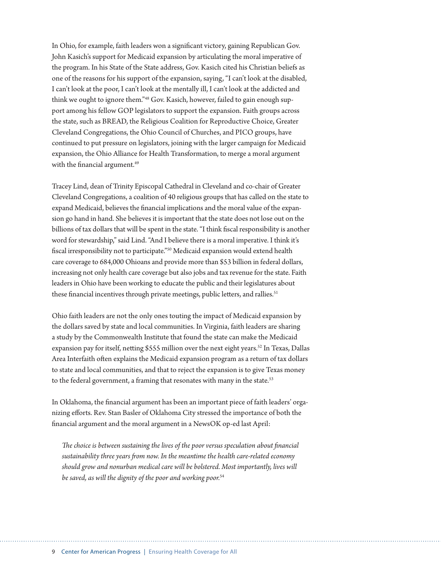In Ohio, for example, faith leaders won a significant victory, gaining Republican Gov. John Kasich's support for Medicaid expansion by articulating the moral imperative of the program. In his State of the State address, Gov. Kasich cited his Christian beliefs as one of the reasons for his support of the expansion, saying, "I can't look at the disabled, I can't look at the poor, I can't look at the mentally ill, I can't look at the addicted and think we ought to ignore them."48 Gov. Kasich, however, failed to gain enough support among his fellow GOP legislators to support the expansion. Faith groups across the state, such as BREAD, the Religious Coalition for Reproductive Choice, Greater Cleveland Congregations, the Ohio Council of Churches, and PICO groups, have continued to put pressure on legislators, joining with the larger campaign for Medicaid expansion, the Ohio Alliance for Health Transformation, to merge a moral argument with the financial argument.<sup>49</sup>

Tracey Lind, dean of Trinity Episcopal Cathedral in Cleveland and co-chair of Greater Cleveland Congregations, a coalition of 40 religious groups that has called on the state to expand Medicaid, believes the financial implications and the moral value of the expansion go hand in hand. She believes it is important that the state does not lose out on the billions of tax dollars that will be spent in the state. "I think fiscal responsibility is another word for stewardship," said Lind. "And I believe there is a moral imperative. I think it's fiscal irresponsibility not to participate."50 Medicaid expansion would extend health care coverage to 684,000 Ohioans and provide more than \$53 billion in federal dollars, increasing not only health care coverage but also jobs and tax revenue for the state. Faith leaders in Ohio have been working to educate the public and their legislatures about these financial incentives through private meetings, public letters, and rallies.<sup>51</sup>

Ohio faith leaders are not the only ones touting the impact of Medicaid expansion by the dollars saved by state and local communities. In Virginia, faith leaders are sharing a study by the Commonwealth Institute that found the state can make the Medicaid expansion pay for itself, netting \$555 million over the next eight years.<sup>52</sup> In Texas, Dallas Area Interfaith often explains the Medicaid expansion program as a return of tax dollars to state and local communities, and that to reject the expansion is to give Texas money to the federal government, a framing that resonates with many in the state.<sup>53</sup>

In Oklahoma, the financial argument has been an important piece of faith leaders' organizing efforts. Rev. Stan Basler of Oklahoma City stressed the importance of both the financial argument and the moral argument in a NewsOK op-ed last April:

*The choice is between sustaining the lives of the poor versus speculation about financial sustainability three years from now. In the meantime the health care-related economy should grow and nonurban medical care will be bolstered. Most importantly, lives will be saved, as will the dignity of the poor and working poor.*54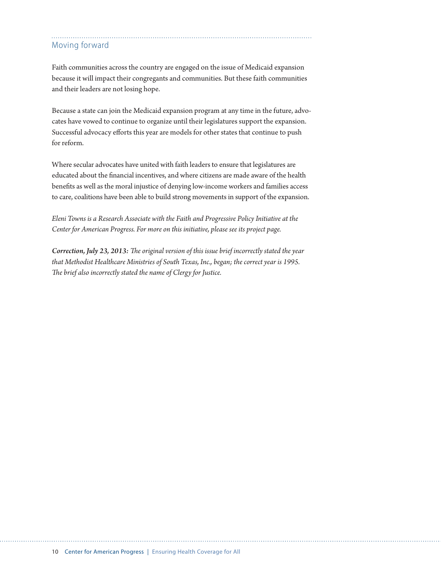### Moving forward

Faith communities across the country are engaged on the issue of Medicaid expansion because it will impact their congregants and communities. But these faith communities and their leaders are not losing hope.

Because a state can join the Medicaid expansion program at any time in the future, advocates have vowed to continue to organize until their legislatures support the expansion. Successful advocacy efforts this year are models for other states that continue to push for reform.

Where secular advocates have united with faith leaders to ensure that legislatures are educated about the financial incentives, and where citizens are made aware of the health benefits as well as the moral injustice of denying low-income workers and families access to care, coalitions have been able to build strong movements in support of the expansion.

*Eleni Towns is a Research Associate with the [Faith and Progressive Policy Initiative](http://www.americanprogress.org/projects/faith/view/) at the Center for American Progress. For more on this initiative, please see its project page.*

*Correction, July 23, 2013: The original version of this issue brief incorrectly stated the year that Methodist Healthcare Ministries of South Texas, Inc., began; the correct year is 1995. The brief also incorrectly stated the name of Clergy for Justice.*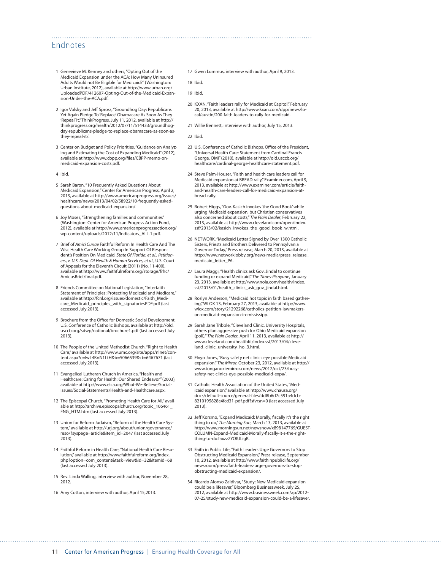#### Endnotes

- 1 Genevieve M. Kenney and others, "Opting Out of the Medicaid Expansion under the ACA: How Many Uninsured Adults Would not Be Eligible for Medicaid?" (Washington: Urban Institute, 2012), available at [http://www.urban.org/](http://www.urban.org/UploadedPDF/412607-Opting-Out-of-the-Medicaid-Expansion-Under-the-ACA.pdf) [UploadedPDF/412607-Opting-Out-of-the-Medicaid-Expan](http://www.urban.org/UploadedPDF/412607-Opting-Out-of-the-Medicaid-Expansion-Under-the-ACA.pdf)[sion-Under-the-ACA.pdf](http://www.urban.org/UploadedPDF/412607-Opting-Out-of-the-Medicaid-Expansion-Under-the-ACA.pdf).
- 2 [Igor Volsky](http://thinkprogress.org/author/igor/) and [Jeff Spross,](http://thinkprogress.org/author/jspross/) "Groundhog Day: Republicans Yet Again Pledge To 'Replace' Obamacare As Soon As They 'Repeal' It," ThinkProgress, July 11, 2012, available at [http://](http://thinkprogress.org/health/2012/07/11/514433/groundhog-day-republicans-pledge-to-replace-obamacare-as-soon-as-they-repeal-it/) [thinkprogress.org/health/2012/07/11/514433/groundhog](http://thinkprogress.org/health/2012/07/11/514433/groundhog-day-republicans-pledge-to-replace-obamacare-as-soon-as-they-repeal-it/)[day-republicans-pledge-to-replace-obamacare-as-soon-as](http://thinkprogress.org/health/2012/07/11/514433/groundhog-day-republicans-pledge-to-replace-obamacare-as-soon-as-they-repeal-it/)[they-repeal-it/.](http://thinkprogress.org/health/2012/07/11/514433/groundhog-day-republicans-pledge-to-replace-obamacare-as-soon-as-they-repeal-it/)
- 3 Center on Budget and Policy Priorities, "Guidance on Analyzing and Estimating the Cost of Expanding Medicaid" (2012), available at [http://www.cbpp.org/files/CBPP-memo-on](http://www.cbpp.org/files/CBPP-memo-on-medicaid-expansion-costs.pdf)[medicaid-expansion-costs.pdf](http://www.cbpp.org/files/CBPP-memo-on-medicaid-expansion-costs.pdf).
- 4 Ibid.
- 5 Sarah Baron, "10 Frequently Asked Questions About Medicaid Expansion," Center for American Progress, April 2, 2013, available at [http://www.americanprogress.org/issues/](http://www.americanprogress.org/issues/healthcare/news/2013/04/02/58922/10-frequently-asked-questions-about-medicaid-expansion/) [healthcare/news/2013/04/02/58922/10-frequently-asked](http://www.americanprogress.org/issues/healthcare/news/2013/04/02/58922/10-frequently-asked-questions-about-medicaid-expansion/)[questions-about-medicaid-expansion/.](http://www.americanprogress.org/issues/healthcare/news/2013/04/02/58922/10-frequently-asked-questions-about-medicaid-expansion/)
- 6 Joy Moses, "Strengthening families and communities" (Washington: Center for American Progress Action Fund, 2012), available at [http://www.americanprogressaction.org/](http://www.americanprogressaction.org/wp-content/uploads/2012/11/Indicators_ALL-1.pdf) [wp-content/uploads/2012/11/Indicators\\_ALL-1.pdf](http://www.americanprogressaction.org/wp-content/uploads/2012/11/Indicators_ALL-1.pdf).
- 7 Brief of *Amici Curiae* Faithful Reform In Health Care And The Wisc Health Care Working Group In Support Of Respondent's Position On Medicaid, *State Of Florida, et al*., *Petitioners*, *v. U.S. Dept. Of Health & Human Services, et al.*, U.S. Court of Appeals for the Eleventh Circuit (2011) (No. 11-400), available at [http://www.faithfulreform.org/storage/frhc/](http://www.faithfulreform.org/storage/frhc/AmicusBrief/final.pdf) [AmicusBrief/final.pdf.](http://www.faithfulreform.org/storage/frhc/AmicusBrief/final.pdf)
- 8 Friends Committee on National Legislation, "Interfaith Statement of Principles: Protecting Medicaid and Medicare," available at [http://fcnl.org/issues/domestic/Faith\\_Medi](http://fcnl.org/issues/domestic/Faith_Medicare_Medicaid_principles_with_signatoriesPDF.pdf)[care\\_Medicaid\\_principles\\_with\\_signatoriesPDF.pdf](http://fcnl.org/issues/domestic/Faith_Medicare_Medicaid_principles_with_signatoriesPDF.pdf) (last accessed July 2013).
- 9 Brochure from the Office for Domestic Social Development, U.S. Conference of Catholic Bishops, available at [http://old.](http://old.usccb.org/sdwp/national/brochure1.pdf) [usccb.org/sdwp/national/brochure1.pdf](http://old.usccb.org/sdwp/national/brochure1.pdf) (last accessed July 2013).
- 10 The People of the United Methodist Church, "Right to Health Care," available at [http://www.umc.org/site/apps/nlnet/con](http://www.umc.org/site/apps/nlnet/content.aspx?c=lwL4KnN1LtH&b=5066539&ct=6467671)[tent.aspx?c=lwL4KnN1LtH&b=5066539&ct=6467671](http://www.umc.org/site/apps/nlnet/content.aspx?c=lwL4KnN1LtH&b=5066539&ct=6467671) (last accessed July 2013).
- 11 Evangelical Lutheran Church in America, "Health and Healthcare: Caring for Health: Our Shared Endeavor" (2003), available at [http://www.elca.org/What-We-Believe/Social-](http://www.elca.org/What-We-Believe/Social-Issues/Social-Statements/Health-and-Healthcare.aspx)[Issues/Social-Statements/Health-and-Healthcare.aspx](http://www.elca.org/What-We-Believe/Social-Issues/Social-Statements/Health-and-Healthcare.aspx).
- 12 The Episcopal Church, "Promoting Health Care for All," available at [http://archive.episcopalchurch.org/topic\\_106461\\_](http://archive.episcopalchurch.org/topic_106461_ENG_HTM.htm) [ENG\\_HTM.htm](http://archive.episcopalchurch.org/topic_106461_ENG_HTM.htm) (last accessed July 2013).
- 13 Union for Reform Judaism, "Reform of the Health Care System," available at [http://urj.org/about/union/governance/](http://urj.org/about/union/governance/reso/?syspage=article&item_id=2047) [reso/?syspage=article&item\\_id=2047](http://urj.org/about/union/governance/reso/?syspage=article&item_id=2047) (last accessed July 2013).
- 14 Faithful Reform in Health Care, "National Health Care Resolution," available at [http://www.faithfulreform.org/index.](http://www.faithfulreform.org/index.php?option=com_content&task=view&id=32&Itemid=68) [php?option=com\\_content&task=view&id=32&Itemid=68](http://www.faithfulreform.org/index.php?option=com_content&task=view&id=32&Itemid=68) (last accessed July 2013).
- 15 Rev. Linda Walling, interview with author, November 28, 2012.
- 16 Amy Cotton, interview with author, April 15,2013.

17 Gwen Lummus, interview with author, April 9, 2013.

18 Ibid.

- 20 KXAN, "Faith leaders rally for Medicaid at Capitol," February 20, 2013, available at [http://www.kxan.com/dpp/news/lo](http://www.kxan.com/dpp/news/local/austin/200-faith-leaders-to-rally-for-medicaid)[cal/austin/200-faith-leaders-to-rally-for-medicaid](http://www.kxan.com/dpp/news/local/austin/200-faith-leaders-to-rally-for-medicaid).
- 21 Willie Bennett, interview with author, July 15, 2013.
- 22 Ibid.
- 23 U.S. Conference of Catholic Bishops, Office of the President, "Universal Health Care: Statement from Cardinal Francis George, OMI" (2010), available at [http://old.usccb.org/](http://old.usccb.org/healthcare/cardinal-george-healthcare-statement.pdf) [healthcare/cardinal-george-healthcare-statement.pdf](http://old.usccb.org/healthcare/cardinal-george-healthcare-statement.pdf).
- 24 Steve Palm-Houser, "Faith and health care leaders call for Medicaid expansion at BREAD rally," Examiner.com, April 9, 2013, available at [http://www.examiner.com/article/faith](http://www.examiner.com/article/faith-and-health-care-leaders-call-for-medicaid-expansion-at-bread-rally)[and-health-care-leaders-call-for-medicaid-expansion-at](http://www.examiner.com/article/faith-and-health-care-leaders-call-for-medicaid-expansion-at-bread-rally)[bread-rally](http://www.examiner.com/article/faith-and-health-care-leaders-call-for-medicaid-expansion-at-bread-rally).
- 25 Robert Higgs, "Gov. Kasich invokes 'the Good Book' while urging Medicaid expansion, but Christian conservatives also concerned about costs," *The Plain Dealer*, February 22, 2013, available at [http://www.cleveland.com/open/index.](http://www.cleveland.com/open/index.ssf/2013/02/kasich_invokes_the_good_book_w.html) [ssf/2013/02/kasich\\_invokes\\_the\\_good\\_book\\_w.html](http://www.cleveland.com/open/index.ssf/2013/02/kasich_invokes_the_good_book_w.html).
- 26 NETWORK, "Medicaid Letter Signed by Over 1300 Catholic Sisters, Priests and Brothers Delivered to Pennsylvania Governor Today," Press release, March 20, 2013, available at [http://www.networklobby.org/news-media/press\\_release\\_](http://www.networklobby.org/news-media/press_release_medicaid_letter_PA) medicaid letter PA.
- 27 Laura Maggi, "Health clinics ask Gov. Jindal to continue funding or expand Medicaid," *The Times-Picayune*, January 23, 2013, available at [http://www.nola.com/health/index.](http://www.nola.com/health/index.ssf/2013/01/health_clinics_ask_gov_jindal.html) [ssf/2013/01/health\\_clinics\\_ask\\_gov\\_jindal.html.](http://www.nola.com/health/index.ssf/2013/01/health_clinics_ask_gov_jindal.html)
- 28 Roslyn Anderson, "Medicaid hot topic in faith based gathering," WLOX 13, February 27, 2013, available at [http://www.](http://www.wlox.com/story/21292268/catholics-petition-lawmakers-on-medicaid-expansion-in-mississipp) [wlox.com/story/21292268/catholics-petition-lawmakers](http://www.wlox.com/story/21292268/catholics-petition-lawmakers-on-medicaid-expansion-in-mississipp)[on-medicaid-expansion-in-mississipp](http://www.wlox.com/story/21292268/catholics-petition-lawmakers-on-medicaid-expansion-in-mississipp).
- 29 Sarah Jane Tribble, "Cleveland Clinic, University Hospitals, others plan aggressive push for Ohio Medicaid expansion (poll)," *The Plain Dealer*, April 11, 2013, available at [http://](http://www.cleveland.com/healthfit/index.ssf/2013/04/cleveland_clinic_university_ho_3.html) [www.cleveland.com/healthfit/index.ssf/2013/04/cleve](http://www.cleveland.com/healthfit/index.ssf/2013/04/cleveland_clinic_university_ho_3.html)[land\\_clinic\\_university\\_ho\\_3.html](http://www.cleveland.com/healthfit/index.ssf/2013/04/cleveland_clinic_university_ho_3.html).
- 30 Elvyn Jones, "Busy safety net clinics eye possible Medicaid expansion," *The Mirror*, October 23, 2012, available at [http://](http://www.tonganoxiemirror.com/news/2012/oct/23/busy-safety-net-clinics-eye-possible-medicaid-expa/) [www.tonganoxiemirror.com/news/2012/oct/23/busy](http://www.tonganoxiemirror.com/news/2012/oct/23/busy-safety-net-clinics-eye-possible-medicaid-expa/)[safety-net-clinics-eye-possible-medicaid-expa/.](http://www.tonganoxiemirror.com/news/2012/oct/23/busy-safety-net-clinics-eye-possible-medicaid-expa/)
- 31 Catholic Health Association of the United States, "Medicaid expansion," available at [http://www.chausa.org/](http://www.chausa.org/docs/default-source/general-files/dd8b6d7c591a4dcb8210195828c4fcd31-pdf.pdf?sfvrsn=0) [docs/default-source/general-files/dd8b6d7c591a4dcb-](http://www.chausa.org/docs/default-source/general-files/dd8b6d7c591a4dcb8210195828c4fcd31-pdf.pdf?sfvrsn=0)[8210195828c4fcd31-pdf.pdf?sfvrsn=0](http://www.chausa.org/docs/default-source/general-files/dd8b6d7c591a4dcb8210195828c4fcd31-pdf.pdf?sfvrsn=0) (last accessed July 2013).
- 32 Jeff Korsmo, "Expand Medicaid: Morally, fiscally it's the right thing to do," *The Morning Sun*, March 13, 2013, available at http://www.morningsun.net/newsnow/x898147769/GUEST-COLUMN-Expand-Medicaid-Morally-fiscally-it-s-the-rightthing-to-do#axzz2YOIULigK.
- 33 Faith in Public Life, "Faith Leaders Urge Governors to Stop Obstructing Medicaid Expansion," Press release, September 10, 2012, available at [http://www.faithinpubliclife.org/](http://www.faithinpubliclife.org/newsroom/press/faith-leaders-urge-governors-to-stop-obstructing-medicaid-expansion/) [newsroom/press/faith-leaders-urge-governors-to-stop](http://www.faithinpubliclife.org/newsroom/press/faith-leaders-urge-governors-to-stop-obstructing-medicaid-expansion/)[obstructing-medicaid-expansion/](http://www.faithinpubliclife.org/newsroom/press/faith-leaders-urge-governors-to-stop-obstructing-medicaid-expansion/).
- 34 Ricardo Alonso Zaldivar, "Study: New Medicaid expansion could be a lifesaver," Bloomberg Businessweek, July 25, 2012, available at [http://www.businessweek.com/ap/2012-](http://www.businessweek.com/ap/2012-07-25/study-new-medicaid-expansion-could-be-a-lifesaver) [07-25/study-new-medicaid-expansion-could-be-a-lifesaver.](http://www.businessweek.com/ap/2012-07-25/study-new-medicaid-expansion-could-be-a-lifesaver)

<sup>19</sup> Ibid.